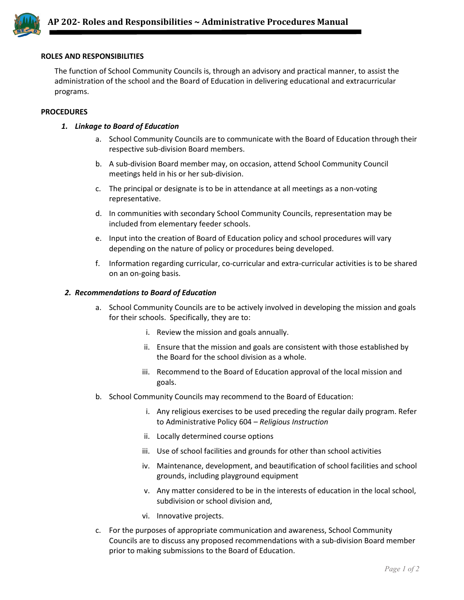

## **ROLES AND RESPONSIBILITIES**

The function of School Community Councils is, through an advisory and practical manner, to assist the administration of the school and the Board of Education in delivering educational and extracurricular programs.

#### **PROCEDURES**

## *1. Linkage to Board of Education*

- a. School Community Councils are to communicate with the Board of Education through their respective sub-division Board members.
- b. A sub-division Board member may, on occasion, attend School Community Council meetings held in his or her sub-division.
- c. The principal or designate is to be in attendance at all meetings as a non-voting representative.
- d. In communities with secondary School Community Councils, representation may be included from elementary feeder schools.
- e. Input into the creation of Board of Education policy and school procedures will vary depending on the nature of policy or procedures being developed.
- f. Information regarding curricular, co-curricular and extra-curricular activities is to be shared on an on-going basis.

#### *2. Recommendations to Board of Education*

- a. School Community Councils are to be actively involved in developing the mission and goals for their schools. Specifically, they are to:
	- i. Review the mission and goals annually.
	- ii. Ensure that the mission and goals are consistent with those established by the Board for the school division as a whole.
	- iii. Recommend to the Board of Education approval of the local mission and goals.
- b. School Community Councils may recommend to the Board of Education:
	- i. Any religious exercises to be used preceding the regular daily program. Refer to Administrative Policy 604 – *Religious Instruction*
	- ii. Locally determined course options
	- iii. Use of school facilities and grounds for other than school activities
	- iv. Maintenance, development, and beautification of school facilities and school grounds, including playground equipment
	- v. Any matter considered to be in the interests of education in the local school, subdivision or school division and,
	- vi. Innovative projects.
- c. For the purposes of appropriate communication and awareness, School Community Councils are to discuss any proposed recommendations with a sub-division Board member prior to making submissions to the Board of Education.